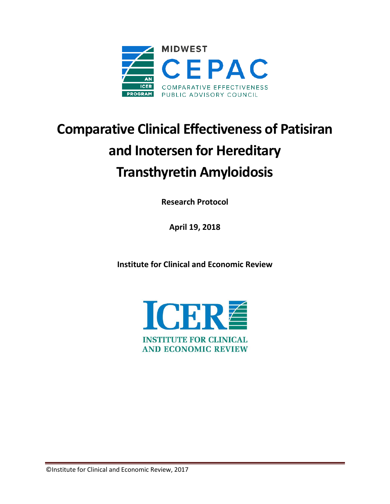

# **Comparative Clinical Effectiveness of Patisiran and Inotersen for Hereditary Transthyretin Amyloidosis**

**Research Protocol**

**April 19, 2018**

**Institute for Clinical and Economic Review**

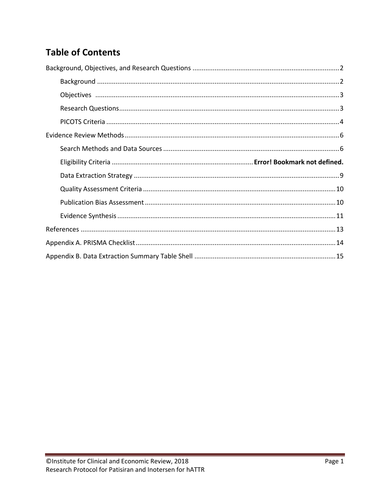### **Table of Contents**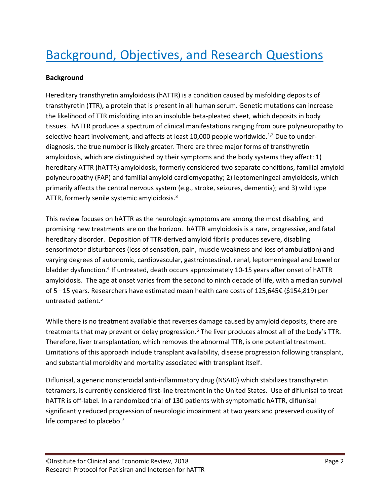# <span id="page-2-0"></span>Background, Objectives, and Research Questions

### <span id="page-2-1"></span>**Background**

Hereditary transthyretin amyloidosis (hATTR) is a condition caused by misfolding deposits of transthyretin (TTR), a protein that is present in all human serum. Genetic mutations can increase the likelihood of TTR misfolding into an insoluble beta-pleated sheet, which deposits in body tissues. hATTR produces a spectrum of clinical manifestations ranging from pure polyneuropathy to selective heart involvement, and affects at least 10,000 people worldwide.<sup>[1,](#page-13-0)[2](#page-13-1)</sup> Due to underdiagnosis, the true number is likely greater. There are three major forms of transthyretin amyloidosis, which are distinguished by their symptoms and the body systems they affect: 1) hereditary ATTR (hATTR) amyloidosis, formerly considered two separate conditions, familial amyloid polyneuropathy (FAP) and familial amyloid cardiomyopathy; 2) leptomeningeal amyloidosis, which primarily affects the central nervous system (e.g., stroke, seizures, dementia); and 3) wild type ATTR, formerly senile systemic amyloidosis.<sup>[3](#page-13-2)</sup>

This review focuses on hATTR as the neurologic symptoms are among the most disabling, and promising new treatments are on the horizon. hATTR amyloidosis is a rare, progressive, and fatal hereditary disorder. Deposition of TTR-derived amyloid fibrils produces severe, disabling sensorimotor disturbances (loss of sensation, pain, muscle weakness and loss of ambulation) and varying degrees of autonomic, cardiovascular, gastrointestinal, renal, leptomeningeal and bowel or bladder dysfunction.<sup>[4](#page-13-3)</sup> If untreated, death occurs approximately 10-15 years after onset of hATTR amyloidosis. The age at onset varies from the second to ninth decade of life, with a median survival of 5 –15 years. Researchers have estimated mean health care costs of 125,645€ (\$154,819) per untreated patient.<sup>[5](#page-13-4)</sup>

While there is no treatment available that reverses damage caused by amyloid deposits, there are treatments that may prevent or delay progression[.](#page-13-5)<sup>6</sup> The liver produces almost all of the body's TTR. Therefore, liver transplantation, which removes the abnormal TTR, is one potential treatment. Limitations of this approach include transplant availability, disease progression following transplant, and substantial morbidity and mortality associated with transplant itself.

Diflunisal, a generic nonsteroidal anti-inflammatory drug (NSAID) which stabilizes transthyretin tetramers, is currently considered first-line treatment in the United States. Use of diflunisal to treat hATTR is off-label. In a randomized trial of 130 patients with symptomatic hATTR, diflunisal significantly reduced progression of neurologic impairment at two years and preserved quality of life compared to placebo[.](#page-13-6)<sup>7</sup>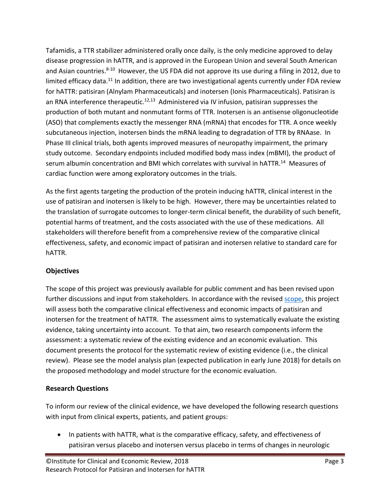Tafamidis, a TTR stabilizer administered orally once daily, is the only medicine approved to delay disease progression in hATTR, and is approved in the European Union and several South American and Asian countries.<sup>[8-10](#page-13-7)</sup> However, the US FDA did not approve its use during a filing in 2012, due to limited efficacy data.<sup>11</sup> In addition, there are two investigational agents currently under FDA review for hATTR: patisiran (Alnylam Pharmaceuticals) and inotersen (Ionis Pharmaceuticals). Patisiran is an RNA interference therapeutic.<sup>12,13</sup> Administered via IV infusion, patisiran suppresses the production of both mutant and nonmutant forms of TTR. Inotersen is an antisense oligonucleotide (ASO) that complements exactly the messenger RNA (mRNA) that encodes for TTR. A once weekly subcutaneous injection, inotersen binds the mRNA leading to degradation of TTR by RNAase. In Phase III clinical trials, both agents improved measures of neuropathy impairment, the primary study outcome. Secondary endpoints included modified body mass index (mBMI), the product of serum albumin concentration and BMI which correlates with survival in hATTR.<sup>14</sup> Measures of cardiac function were among exploratory outcomes in the trials.

As the first agents targeting the production of the protein inducing hATTR, clinical interest in the use of patisiran and inotersen is likely to be high. However, there may be uncertainties related to the translation of surrogate outcomes to longer-term clinical benefit, the durability of such benefit, potential harms of treatment, and the costs associated with the use of these medications. All stakeholders will therefore benefit from a comprehensive review of the comparative clinical effectiveness, safety, and economic impact of patisiran and inotersen relative to standard care for hATTR.

### <span id="page-3-0"></span>**Objectives**

The scope of this project was previously available for public comment and has been revised upon further discussions and input from stakeholders. In accordance with the revise[d scope,](https://icer-review.org/material/amyloidosis-revised-scope/) this project will assess both the comparative clinical effectiveness and economic impacts of patisiran and inotersen for the treatment of hATTR. The assessment aims to systematically evaluate the existing evidence, taking uncertainty into account. To that aim, two research components inform the assessment: a systematic review of the existing evidence and an economic evaluation. This document presents the protocol for the systematic review of existing evidence (i.e., the clinical review). Please see the model analysis plan (expected publication in early June 2018) for details on the proposed methodology and model structure for the economic evaluation.

### <span id="page-3-1"></span>**Research Questions**

To inform our review of the clinical evidence, we have developed the following research questions with input from clinical experts, patients, and patient groups:

• In patients with hATTR, what is the comparative efficacy, safety, and effectiveness of patisiran versus placebo and inotersen versus placebo in terms of changes in neurologic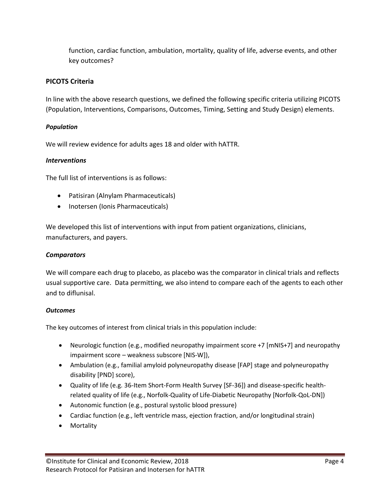function, cardiac function, ambulation, mortality, quality of life, adverse events, and other key outcomes?

### <span id="page-4-0"></span>**PICOTS Criteria**

In line with the above research questions, we defined the following specific criteria utilizing PICOTS (Population, Interventions, Comparisons, Outcomes, Timing, Setting and Study Design) elements.

### *Population*

We will review evidence for adults ages 18 and older with hATTR.

### *Interventions*

The full list of interventions is as follows:

- Patisiran (Alnylam Pharmaceuticals)
- Inotersen (Ionis Pharmaceuticals)

We developed this list of interventions with input from patient organizations, clinicians, manufacturers, and payers.

### *Comparators*

We will compare each drug to placebo, as placebo was the comparator in clinical trials and reflects usual supportive care. Data permitting, we also intend to compare each of the agents to each other and to diflunisal.

### *Outcomes*

The key outcomes of interest from clinical trials in this population include:

- Neurologic function (e.g., modified neuropathy impairment score +7 [mNIS+7] and neuropathy impairment score – weakness subscore [NIS-W]),
- Ambulation (e.g., familial amyloid polyneuropathy disease [FAP] stage and polyneuropathy disability [PND] score),
- Quality of life (e.g. 36-Item Short-Form Health Survey [SF-36]) and disease-specific healthrelated quality of life (e.g., Norfolk-Quality of Life-Diabetic Neuropathy [Norfolk-QoL-DN])
- Autonomic function (e.g., postural systolic blood pressure)
- Cardiac function (e.g., left ventricle mass, ejection fraction, and/or longitudinal strain)
- Mortality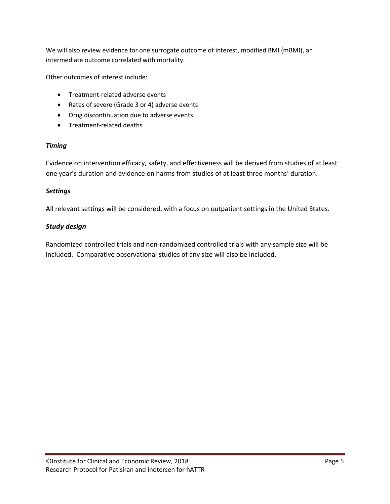We will also review evidence for one surrogate outcome of interest, modified BMI (mBMI), an intermediate outcome correlated with mortality.

Other outcomes of interest include:

- Treatment-related adverse events
- Rates of severe (Grade 3 or 4) adverse events
- Drug discontinuation due to adverse events
- Treatment-related deaths

#### *Timing*

Evidence on intervention efficacy, safety, and effectiveness will be derived from studies of at least one year's duration and evidence on harms from studies of at least three months' duration.

### *Settings*

All relevant settings will be considered, with a focus on outpatient settings in the United States.

### *Study design*

Randomized controlled trials and non-randomized controlled trials with any sample size will be included. Comparative observational studies of any size will also be included.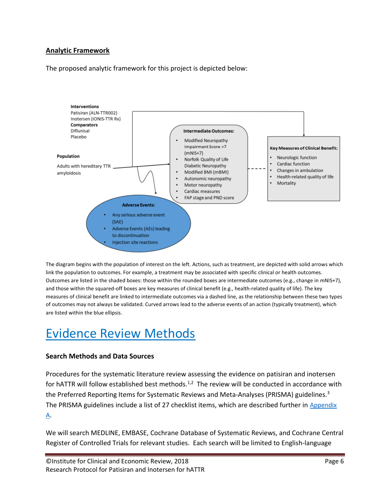### **Analytic Framework**

The proposed analytic framework for this project is depicted below:



The diagram begins with the population of interest on the left. Actions, such as treatment, are depicted with solid arrows which link the population to outcomes. For example, a treatment may be associated with specific clinical or health outcomes. Outcomes are listed in the shaded boxes: those within the rounded boxes are intermediate outcomes (e.g., change in mNIS+7), and those within the squared-off boxes are key measures of clinical benefit (e.g., health-related quality of life). The key measures of clinical benefit are linked to intermediate outcomes via a dashed line, as the relationship between these two types of outcomes may not always be validated. Curved arrows lead to the adverse events of an action (typically treatment), which are listed within the blue ellipsis.

### <span id="page-6-0"></span>Evidence Review Methods

### <span id="page-6-1"></span>**Search Methods and Data Sources**

Procedures for the systematic literature review assessing the evidence on patisiran and inotersen for hATTR will follow established best methods.<sup>[1](#page-13-0)[,2](#page-13-1)</sup> The review will be conducted in accordance with the Preferred Reporting Items for Systematic Reviews and Meta-Analyses (PRISMA) guidelines.<sup>[3](#page-13-2)</sup> The PRISMA guidelines include a list of 27 checklist items, which are described further in Appendix A.

We will search MEDLINE, EMBASE, Cochrane Database of Systematic Reviews, and Cochrane Central Register of Controlled Trials for relevant studies. Each search will be limited to English-language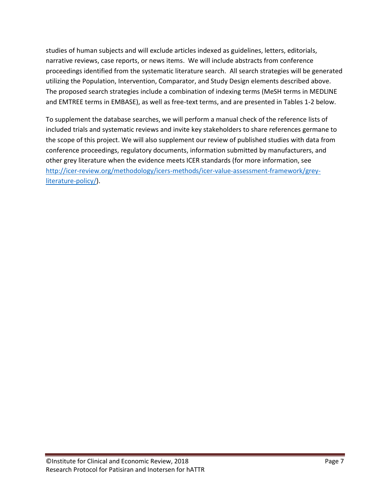studies of human subjects and will exclude articles indexed as guidelines, letters, editorials, narrative reviews, case reports, or news items. We will include abstracts from conference proceedings identified from the systematic literature search. All search strategies will be generated utilizing the Population, Intervention, Comparator, and Study Design elements described above. The proposed search strategies include a combination of indexing terms (MeSH terms in MEDLINE and EMTREE terms in EMBASE), as well as free-text terms, and are presented in Tables 1-2 below.

To supplement the database searches, we will perform a manual check of the reference lists of included trials and systematic reviews and invite key stakeholders to share references germane to the scope of this project. We will also supplement our review of published studies with data from conference proceedings, regulatory documents, information submitted by manufacturers, and other grey literature when the evidence meets ICER standards (for more information, see [http://icer-review.org/methodology/icers-methods/icer-value-assessment-framework/grey](http://icer-review.org/methodology/icers-methods/icer-value-assessment-framework/grey-literature-policy/)[literature-policy/\)](http://icer-review.org/methodology/icers-methods/icer-value-assessment-framework/grey-literature-policy/).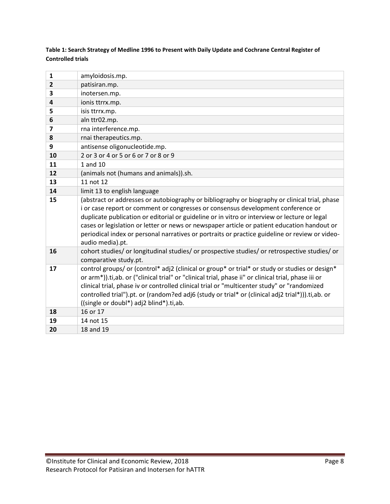### **Table 1: Search Strategy of Medline 1996 to Present with Daily Update and Cochrane Central Register of Controlled trials**

| $\mathbf{1}$            | amyloidosis.mp.                                                                                                                                                                                                                                                                                                                                                                                                                                                                                        |
|-------------------------|--------------------------------------------------------------------------------------------------------------------------------------------------------------------------------------------------------------------------------------------------------------------------------------------------------------------------------------------------------------------------------------------------------------------------------------------------------------------------------------------------------|
| $\overline{2}$          | patisiran.mp.                                                                                                                                                                                                                                                                                                                                                                                                                                                                                          |
| 3                       | inotersen.mp.                                                                                                                                                                                                                                                                                                                                                                                                                                                                                          |
| 4                       | ionis ttrrx.mp.                                                                                                                                                                                                                                                                                                                                                                                                                                                                                        |
| 5                       | isis ttrrx.mp.                                                                                                                                                                                                                                                                                                                                                                                                                                                                                         |
| 6                       | aln ttr02.mp.                                                                                                                                                                                                                                                                                                                                                                                                                                                                                          |
| $\overline{\mathbf{z}}$ | rna interference.mp.                                                                                                                                                                                                                                                                                                                                                                                                                                                                                   |
| 8                       | rnai therapeutics.mp.                                                                                                                                                                                                                                                                                                                                                                                                                                                                                  |
| 9                       | antisense oligonucleotide.mp.                                                                                                                                                                                                                                                                                                                                                                                                                                                                          |
| 10                      | 2 or 3 or 4 or 5 or 6 or 7 or 8 or 9                                                                                                                                                                                                                                                                                                                                                                                                                                                                   |
| 11                      | 1 and $10$                                                                                                                                                                                                                                                                                                                                                                                                                                                                                             |
| 12                      | (animals not (humans and animals)).sh.                                                                                                                                                                                                                                                                                                                                                                                                                                                                 |
| 13                      | 11 not 12                                                                                                                                                                                                                                                                                                                                                                                                                                                                                              |
| 14                      | limit 13 to english language                                                                                                                                                                                                                                                                                                                                                                                                                                                                           |
| 15                      | (abstract or addresses or autobiography or bibliography or biography or clinical trial, phase<br>i or case report or comment or congresses or consensus development conference or<br>duplicate publication or editorial or guideline or in vitro or interview or lecture or legal<br>cases or legislation or letter or news or newspaper article or patient education handout or<br>periodical index or personal narratives or portraits or practice guideline or review or video-<br>audio media).pt. |
| 16                      | cohort studies/ or longitudinal studies/ or prospective studies/ or retrospective studies/ or<br>comparative study.pt.                                                                                                                                                                                                                                                                                                                                                                                 |
| 17                      | control groups/ or (control* adj2 (clinical or group* or trial* or study or studies or design*<br>or arm*)).ti,ab. or ("clinical trial" or "clinical trial, phase ii" or clinical trial, phase iii or<br>clinical trial, phase iv or controlled clinical trial or "multicenter study" or "randomized<br>controlled trial").pt. or (random?ed adj6 (study or trial* or (clinical adj2 trial*))).ti,ab. or<br>((single or doubl*) adj2 blind*).ti,ab.                                                    |
| 18                      | 16 or 17                                                                                                                                                                                                                                                                                                                                                                                                                                                                                               |
| 19                      | 14 not 15                                                                                                                                                                                                                                                                                                                                                                                                                                                                                              |
| 20                      | 18 and 19                                                                                                                                                                                                                                                                                                                                                                                                                                                                                              |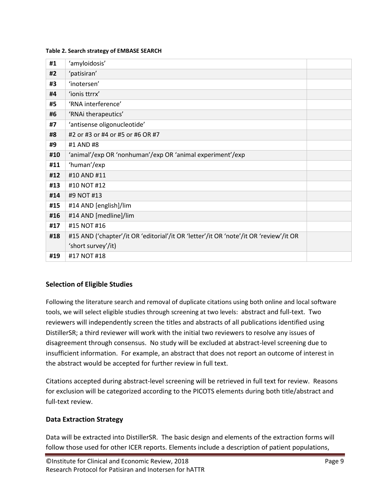#### **Table 2. Search strategy of EMBASE SEARCH**

| #1  | 'amyloidosis'                                                                         |  |
|-----|---------------------------------------------------------------------------------------|--|
| #2  | 'patisiran'                                                                           |  |
| #3  | 'inotersen'                                                                           |  |
| #4  | 'ionis ttrrx'                                                                         |  |
| #5  | 'RNA interference'                                                                    |  |
| #6  | 'RNAi therapeutics'                                                                   |  |
| #7  | 'antisense oligonucleotide'                                                           |  |
| #8  | #2 or #3 or #4 or #5 or #6 OR #7                                                      |  |
| #9  | #1 AND #8                                                                             |  |
| #10 | 'animal'/exp OR 'nonhuman'/exp OR 'animal experiment'/exp                             |  |
| #11 | 'human'/exp                                                                           |  |
| #12 | #10 AND #11                                                                           |  |
| #13 | #10 NOT #12                                                                           |  |
| #14 | #9 NOT #13                                                                            |  |
| #15 | #14 AND [english]/lim                                                                 |  |
| #16 | #14 AND [medline]/lim                                                                 |  |
| #17 | #15 NOT #16                                                                           |  |
| #18 | #15 AND ('chapter'/it OR 'editorial'/it OR 'letter'/it OR 'note'/it OR 'review'/it OR |  |
|     | 'short survey'/it)                                                                    |  |
| #19 | #17 NOT #18                                                                           |  |

### **Selection of Eligible Studies**

Following the literature search and removal of duplicate citations using both online and local software tools, we will select eligible studies through screening at two levels: abstract and full-text. Two reviewers will independently screen the titles and abstracts of all publications identified using DistillerSR; a third reviewer will work with the initial two reviewers to resolve any issues of disagreement through consensus. No study will be excluded at abstract-level screening due to insufficient information. For example, an abstract that does not report an outcome of interest in the abstract would be accepted for further review in full text.

Citations accepted during abstract-level screening will be retrieved in full text for review. Reasons for exclusion will be categorized according to the PICOTS elements during both title/abstract and full-text review.

### <span id="page-9-0"></span>**Data Extraction Strategy**

Data will be extracted into DistillerSR. The basic design and elements of the extraction forms will follow those used for other ICER reports. Elements include a description of patient populations,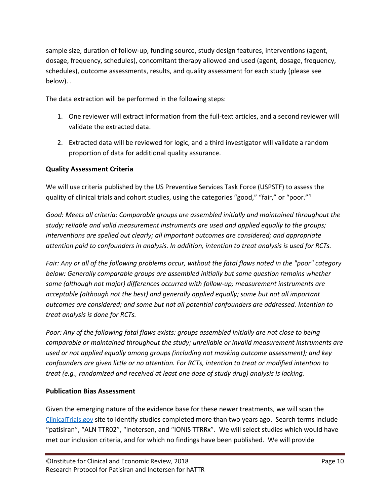sample size, duration of follow-up, funding source, study design features, interventions (agent, dosage, frequency, schedules), concomitant therapy allowed and used (agent, dosage, frequency, schedules), outcome assessments, results, and quality assessment for each study (please see below). .

The data extraction will be performed in the following steps:

- 1. One reviewer will extract information from the full-text articles, and a second reviewer will validate the extracted data.
- 2. Extracted data will be reviewed for logic, and a third investigator will validate a random proportion of data for additional quality assurance.

### <span id="page-10-0"></span>**Quality Assessment Criteria**

We will use criteria published by the US Preventive Services Task Force (USPSTF) to assess the quality of clinical trials and cohort studies, using the categories "good," "fair," or "poor."[4](#page-13-3)

*Good: Meets all criteria: Comparable groups are assembled initially and maintained throughout the study; reliable and valid measurement instruments are used and applied equally to the groups; interventions are spelled out clearly; all important outcomes are considered; and appropriate attention paid to confounders in analysis. In addition, intention to treat analysis is used for RCTs.*

*Fair: Any or all of the following problems occur, without the fatal flaws noted in the "poor" category below: Generally comparable groups are assembled initially but some question remains whether some (although not major) differences occurred with follow-up; measurement instruments are acceptable (although not the best) and generally applied equally; some but not all important outcomes are considered; and some but not all potential confounders are addressed. Intention to treat analysis is done for RCTs.*

*Poor: Any of the following fatal flaws exists: groups assembled initially are not close to being comparable or maintained throughout the study; unreliable or invalid measurement instruments are used or not applied equally among groups (including not masking outcome assessment); and key confounders are given little or no attention. For RCTs, intention to treat or modified intention to treat (e.g., randomized and received at least one dose of study drug) analysis is lacking.*

### <span id="page-10-1"></span>**Publication Bias Assessment**

Given the emerging nature of the evidence base for these newer treatments, we will scan the [ClinicalTrials.gov](http://www.clinicaltrials.gov/) site to identify studies completed more than two years ago. Search terms include "patisiran", "ALN TTR02", "inotersen, and "IONIS TTRRx". We will select studies which would have met our inclusion criteria, and for which no findings have been published. We will provide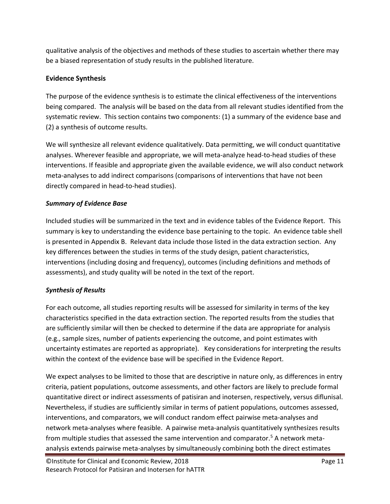qualitative analysis of the objectives and methods of these studies to ascertain whether there may be a biased representation of study results in the published literature.

### <span id="page-11-0"></span>**Evidence Synthesis**

The purpose of the evidence synthesis is to estimate the clinical effectiveness of the interventions being compared. The analysis will be based on the data from all relevant studies identified from the systematic review. This section contains two components: (1) a summary of the evidence base and (2) a synthesis of outcome results.

We will synthesize all relevant evidence qualitatively. Data permitting, we will conduct quantitative analyses. Wherever feasible and appropriate, we will meta-analyze head-to-head studies of these interventions. If feasible and appropriate given the available evidence, we will also conduct network meta-analyses to add indirect comparisons (comparisons of interventions that have not been directly compared in head-to-head studies).

### *Summary of Evidence Base*

Included studies will be summarized in the text and in evidence tables of the Evidence Report. This summary is key to understanding the evidence base pertaining to the topic. An evidence table shell is presented in Appendix B. Relevant data include those listed in the data extraction section. Any key differences between the studies in terms of the study design, patient characteristics, interventions (including dosing and frequency), outcomes (including definitions and methods of assessments), and study quality will be noted in the text of the report.

### *Synthesis of Results*

For each outcome, all studies reporting results will be assessed for similarity in terms of the key characteristics specified in the data extraction section. The reported results from the studies that are sufficiently similar will then be checked to determine if the data are appropriate for analysis (e.g., sample sizes, number of patients experiencing the outcome, and point estimates with uncertainty estimates are reported as appropriate). Key considerations for interpreting the results within the context of the evidence base will be specified in the Evidence Report.

We expect analyses to be limited to those that are descriptive in nature only, as differences in entry criteria, patient populations, outcome assessments, and other factors are likely to preclude formal quantitative direct or indirect assessments of patisiran and inotersen, respectively, versus diflunisal. Nevertheless, if studies are sufficiently similar in terms of patient populations, outcomes assessed, interventions, and comparators, we will conduct random effect pairwise meta-analyses and network meta-analyses where feasible. A pairwise meta-analysis quantitatively synthesizes results from multiple studies that assessed the same intervention and comparator.<sup>[5](#page-13-4)</sup> A network metaanalysis extends pairwise meta-analyses by simultaneously combining both the direct estimates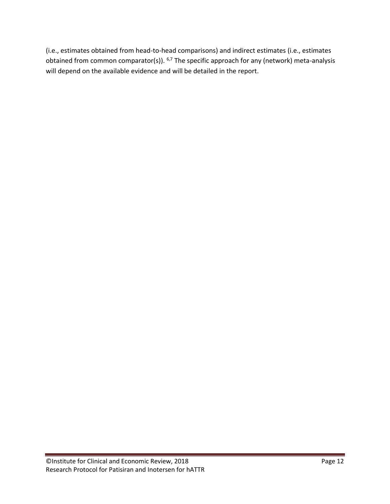<span id="page-12-0"></span>(i.e., estimates obtained from head-to-head comparisons) and indirect estimates (i.e., estimates obtained from common comparator(s)).  $6,7$  $6,7$  The specific approach for any (network) meta-analysis will depend on the available evidence and will be detailed in the report.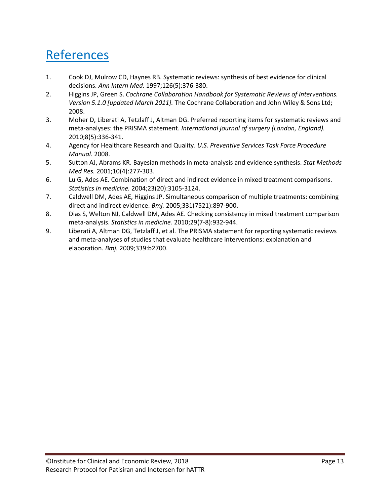### References

- <span id="page-13-0"></span>1. Cook DJ, Mulrow CD, Haynes RB. Systematic reviews: synthesis of best evidence for clinical decisions. *Ann Intern Med.* 1997;126(5):376-380.
- <span id="page-13-1"></span>2. Higgins JP, Green S. *Cochrane Collaboration Handbook for Systematic Reviews of Interventions. Version 5.1.0 [updated March 2011].* The Cochrane Collaboration and John Wiley & Sons Ltd; 2008.
- <span id="page-13-2"></span>3. Moher D, Liberati A, Tetzlaff J, Altman DG. Preferred reporting items for systematic reviews and meta-analyses: the PRISMA statement. *International journal of surgery (London, England).*  2010;8(5):336-341.
- <span id="page-13-3"></span>4. Agency for Healthcare Research and Quality. *U.S. Preventive Services Task Force Procedure Manual.* 2008.
- <span id="page-13-4"></span>5. Sutton AJ, Abrams KR. Bayesian methods in meta-analysis and evidence synthesis. *Stat Methods Med Res.* 2001;10(4):277-303.
- <span id="page-13-5"></span>6. Lu G, Ades AE. Combination of direct and indirect evidence in mixed treatment comparisons. *Statistics in medicine.* 2004;23(20):3105-3124.
- <span id="page-13-6"></span>7. Caldwell DM, Ades AE, Higgins JP. Simultaneous comparison of multiple treatments: combining direct and indirect evidence. *Bmj.* 2005;331(7521):897-900.
- <span id="page-13-7"></span>8. Dias S, Welton NJ, Caldwell DM, Ades AE. Checking consistency in mixed treatment comparison meta-analysis. *Statistics in medicine.* 2010;29(7-8):932-944.
- <span id="page-13-8"></span>9. Liberati A, Altman DG, Tetzlaff J, et al. The PRISMA statement for reporting systematic reviews and meta-analyses of studies that evaluate healthcare interventions: explanation and elaboration. *Bmj.* 2009;339:b2700.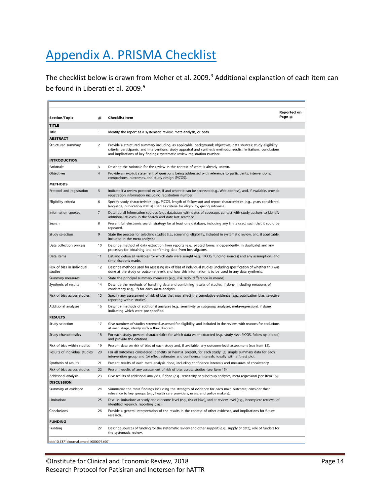# <span id="page-14-0"></span>Appendix A. PRISMA Checklist

The checklist below is drawn from Moher et al. 2009.<sup>[3](#page-13-2)</sup> Additional explanation of each item can be found in Liberati et al. 200[9](#page-13-8).<sup>9</sup>

| <b>TITLE</b><br>Title<br>1<br>Identify the report as a systematic review, meta-analysis, or both.<br><b>ABSTRACT</b><br>2<br>Structured summary<br>Provide a structured summary including, as applicable: background; objectives; data sources; study eligibility<br>criteria, participants, and interventions; study appraisal and synthesis methods; results; limitations; conclusions<br>and implications of key findings; systematic review registration number.<br><b>INTRODUCTION</b><br>Rationale<br>3<br>Describe the rationale for the review in the context of what is already known.<br>Objectives<br>4<br>Provide an explicit statement of questions being addressed with reference to participants, interventions,<br>comparisons, outcomes, and study design (PICOS).<br><b>METHODS</b><br>Protocol and registration<br>5<br>Indicate if a review protocol exists, if and where it can be accessed (e.g., Web address), and, if available, provide<br>registration information including registration number.<br>Specify study characteristics (e.g., PICOS, length of follow-up) and report characteristics (e.g., years considered,<br>Eligibility criteria<br>6<br>language, publication status) used as criteria for eligibility, giving rationale.<br>$\overline{7}$<br>Describe all information sources (e.g., databases with dates of coverage, contact with study authors to identify<br>Information sources<br>additional studies) in the search and date last searched.<br>Present full electronic search strategy for at least one database, including any limits used, such that it could be<br>Search<br>8<br>repeated.<br>Study selection<br>9<br>State the process for selecting studies (i.e., screening, eligibility, included in systematic review, and, if applicable,<br>included in the meta-analysis).<br>Data collection process<br>10<br>Describe method of data extraction from reports (e.g., piloted forms, independently, in duplicate) and any<br>processes for obtaining and confirming data from investigators.<br>Data items<br>11<br>List and define all variables for which data were sought (e.g., PICOS, funding sources) and any assumptions and<br>simplifications made.<br>Risk of bias in individual<br>12<br>Describe methods used for assessing risk of bias of individual studies (including specification of whether this was<br>studies<br>done at the study or outcome level), and how this information is to be used in any data synthesis.<br>Summary measures<br>13<br>State the principal summary measures (e.g., risk ratio, difference in means).<br>Synthesis of results<br>14<br>Describe the methods of handling data and combining results of studies, if done, including measures of<br>consistency (e.g., $I^2$ ) for each meta-analysis.<br>Risk of bias across studies<br>15<br>Specify any assessment of risk of bias that may affect the cumulative evidence (e.g., publication bias, selective<br>reporting within studies).<br>16<br>Describe methods of additional analyses (e.g., sensitivity or subgroup analyses, meta-regression), if done,<br>Additional analyses<br>indicating which were pre-specified.<br><b>RESULTS</b><br>Give numbers of studies screened, assessed for eligibility, and included in the review, with reasons for exclusions<br>Study selection<br>17<br>at each stage, ideally with a flow diagram.<br>Study characteristics<br>18<br>For each study, present characteristics for which data were extracted (e.g., study size, PICOS, follow-up period)<br>and provide the citations.<br>Risk of bias within studies<br>19<br>Present data on risk of bias of each study and, if available, any outcome-level assessment (see Item 12).<br>Results of individual studies<br>20<br>For all outcomes considered (benefits or harms), present, for each study: (a) simple summary data for each<br>intervention group and (b) effect estimates and confidence intervals, ideally with a forest plot.<br>21<br>Present results of each meta-analysis done, including confidence intervals and measures of consistency.<br>Synthesis of results<br>Risk of bias across studies<br>22<br>Present results of any assessment of risk of bias across studies (see Item 15).<br>Additional analysis<br>23<br>Give results of additional analyses, if done (e.g., sensitivity or subgroup analyses, meta-regression [see Item 16]).<br><b>DISCUSSION</b><br>Summary of evidence<br>24<br>Summarize the main findings including the strength of evidence for each main outcome; consider their<br>relevance to key groups (e.g., health care providers, users, and policy makers).<br>Limitations<br>Discuss limitations at study and outcome level (e.g., risk of bias), and at review level (e.g., incomplete retrieval of<br>25<br>identified research, reporting bias).<br>Provide a general interpretation of the results in the context of other evidence, and implications for future<br>Conclusions<br>26<br>research.<br><b>FUNDING</b><br>Funding<br>27<br>Describe sources of funding for the systematic review and other support (e.g., supply of data); role of funders for<br>the systematic review. | <b>Section/Topic</b> | # | <b>Checklist Item</b> | <b>Reported on</b><br>Page $#$ |
|-------------------------------------------------------------------------------------------------------------------------------------------------------------------------------------------------------------------------------------------------------------------------------------------------------------------------------------------------------------------------------------------------------------------------------------------------------------------------------------------------------------------------------------------------------------------------------------------------------------------------------------------------------------------------------------------------------------------------------------------------------------------------------------------------------------------------------------------------------------------------------------------------------------------------------------------------------------------------------------------------------------------------------------------------------------------------------------------------------------------------------------------------------------------------------------------------------------------------------------------------------------------------------------------------------------------------------------------------------------------------------------------------------------------------------------------------------------------------------------------------------------------------------------------------------------------------------------------------------------------------------------------------------------------------------------------------------------------------------------------------------------------------------------------------------------------------------------------------------------------------------------------------------------------------------------------------------------------------------------------------------------------------------------------------------------------------------------------------------------------------------------------------------------------------------------------------------------------------------------------------------------------------------------------------------------------------------------------------------------------------------------------------------------------------------------------------------------------------------------------------------------------------------------------------------------------------------------------------------------------------------------------------------------------------------------------------------------------------------------------------------------------------------------------------------------------------------------------------------------------------------------------------------------------------------------------------------------------------------------------------------------------------------------------------------------------------------------------------------------------------------------------------------------------------------------------------------------------------------------------------------------------------------------------------------------------------------------------------------------------------------------------------------------------------------------------------------------------------------------------------------------------------------------------------------------------------------------------------------------------------------------------------------------------------------------------------------------------------------------------------------------------------------------------------------------------------------------------------------------------------------------------------------------------------------------------------------------------------------------------------------------------------------------------------------------------------------------------------------------------------------------------------------------------------------------------------------------------------------------------------------------------------------------------------------------------------------------------------------------------------------------------------------------------------------------------------------------------------------------------------------------------------------------------------------------------------------------------------------------------------------------------------------------------------------------------------------------------------------------------------------------------------------------------------------------------------------------------------------------------------------------------------------------------------------------------------------------------------------------------------------------------------------------------------------------------------------------------------------------------------------------------------------------------------------------------------------------------|----------------------|---|-----------------------|--------------------------------|
|                                                                                                                                                                                                                                                                                                                                                                                                                                                                                                                                                                                                                                                                                                                                                                                                                                                                                                                                                                                                                                                                                                                                                                                                                                                                                                                                                                                                                                                                                                                                                                                                                                                                                                                                                                                                                                                                                                                                                                                                                                                                                                                                                                                                                                                                                                                                                                                                                                                                                                                                                                                                                                                                                                                                                                                                                                                                                                                                                                                                                                                                                                                                                                                                                                                                                                                                                                                                                                                                                                                                                                                                                                                                                                                                                                                                                                                                                                                                                                                                                                                                                                                                                                                                                                                                                                                                                                                                                                                                                                                                                                                                                                                                                                                                                                                                                                                                                                                                                                                                                                                                                                                                                                                                                   |                      |   |                       |                                |
|                                                                                                                                                                                                                                                                                                                                                                                                                                                                                                                                                                                                                                                                                                                                                                                                                                                                                                                                                                                                                                                                                                                                                                                                                                                                                                                                                                                                                                                                                                                                                                                                                                                                                                                                                                                                                                                                                                                                                                                                                                                                                                                                                                                                                                                                                                                                                                                                                                                                                                                                                                                                                                                                                                                                                                                                                                                                                                                                                                                                                                                                                                                                                                                                                                                                                                                                                                                                                                                                                                                                                                                                                                                                                                                                                                                                                                                                                                                                                                                                                                                                                                                                                                                                                                                                                                                                                                                                                                                                                                                                                                                                                                                                                                                                                                                                                                                                                                                                                                                                                                                                                                                                                                                                                   |                      |   |                       |                                |
|                                                                                                                                                                                                                                                                                                                                                                                                                                                                                                                                                                                                                                                                                                                                                                                                                                                                                                                                                                                                                                                                                                                                                                                                                                                                                                                                                                                                                                                                                                                                                                                                                                                                                                                                                                                                                                                                                                                                                                                                                                                                                                                                                                                                                                                                                                                                                                                                                                                                                                                                                                                                                                                                                                                                                                                                                                                                                                                                                                                                                                                                                                                                                                                                                                                                                                                                                                                                                                                                                                                                                                                                                                                                                                                                                                                                                                                                                                                                                                                                                                                                                                                                                                                                                                                                                                                                                                                                                                                                                                                                                                                                                                                                                                                                                                                                                                                                                                                                                                                                                                                                                                                                                                                                                   |                      |   |                       |                                |
|                                                                                                                                                                                                                                                                                                                                                                                                                                                                                                                                                                                                                                                                                                                                                                                                                                                                                                                                                                                                                                                                                                                                                                                                                                                                                                                                                                                                                                                                                                                                                                                                                                                                                                                                                                                                                                                                                                                                                                                                                                                                                                                                                                                                                                                                                                                                                                                                                                                                                                                                                                                                                                                                                                                                                                                                                                                                                                                                                                                                                                                                                                                                                                                                                                                                                                                                                                                                                                                                                                                                                                                                                                                                                                                                                                                                                                                                                                                                                                                                                                                                                                                                                                                                                                                                                                                                                                                                                                                                                                                                                                                                                                                                                                                                                                                                                                                                                                                                                                                                                                                                                                                                                                                                                   |                      |   |                       |                                |
|                                                                                                                                                                                                                                                                                                                                                                                                                                                                                                                                                                                                                                                                                                                                                                                                                                                                                                                                                                                                                                                                                                                                                                                                                                                                                                                                                                                                                                                                                                                                                                                                                                                                                                                                                                                                                                                                                                                                                                                                                                                                                                                                                                                                                                                                                                                                                                                                                                                                                                                                                                                                                                                                                                                                                                                                                                                                                                                                                                                                                                                                                                                                                                                                                                                                                                                                                                                                                                                                                                                                                                                                                                                                                                                                                                                                                                                                                                                                                                                                                                                                                                                                                                                                                                                                                                                                                                                                                                                                                                                                                                                                                                                                                                                                                                                                                                                                                                                                                                                                                                                                                                                                                                                                                   |                      |   |                       |                                |
|                                                                                                                                                                                                                                                                                                                                                                                                                                                                                                                                                                                                                                                                                                                                                                                                                                                                                                                                                                                                                                                                                                                                                                                                                                                                                                                                                                                                                                                                                                                                                                                                                                                                                                                                                                                                                                                                                                                                                                                                                                                                                                                                                                                                                                                                                                                                                                                                                                                                                                                                                                                                                                                                                                                                                                                                                                                                                                                                                                                                                                                                                                                                                                                                                                                                                                                                                                                                                                                                                                                                                                                                                                                                                                                                                                                                                                                                                                                                                                                                                                                                                                                                                                                                                                                                                                                                                                                                                                                                                                                                                                                                                                                                                                                                                                                                                                                                                                                                                                                                                                                                                                                                                                                                                   |                      |   |                       |                                |
|                                                                                                                                                                                                                                                                                                                                                                                                                                                                                                                                                                                                                                                                                                                                                                                                                                                                                                                                                                                                                                                                                                                                                                                                                                                                                                                                                                                                                                                                                                                                                                                                                                                                                                                                                                                                                                                                                                                                                                                                                                                                                                                                                                                                                                                                                                                                                                                                                                                                                                                                                                                                                                                                                                                                                                                                                                                                                                                                                                                                                                                                                                                                                                                                                                                                                                                                                                                                                                                                                                                                                                                                                                                                                                                                                                                                                                                                                                                                                                                                                                                                                                                                                                                                                                                                                                                                                                                                                                                                                                                                                                                                                                                                                                                                                                                                                                                                                                                                                                                                                                                                                                                                                                                                                   |                      |   |                       |                                |
|                                                                                                                                                                                                                                                                                                                                                                                                                                                                                                                                                                                                                                                                                                                                                                                                                                                                                                                                                                                                                                                                                                                                                                                                                                                                                                                                                                                                                                                                                                                                                                                                                                                                                                                                                                                                                                                                                                                                                                                                                                                                                                                                                                                                                                                                                                                                                                                                                                                                                                                                                                                                                                                                                                                                                                                                                                                                                                                                                                                                                                                                                                                                                                                                                                                                                                                                                                                                                                                                                                                                                                                                                                                                                                                                                                                                                                                                                                                                                                                                                                                                                                                                                                                                                                                                                                                                                                                                                                                                                                                                                                                                                                                                                                                                                                                                                                                                                                                                                                                                                                                                                                                                                                                                                   |                      |   |                       |                                |
|                                                                                                                                                                                                                                                                                                                                                                                                                                                                                                                                                                                                                                                                                                                                                                                                                                                                                                                                                                                                                                                                                                                                                                                                                                                                                                                                                                                                                                                                                                                                                                                                                                                                                                                                                                                                                                                                                                                                                                                                                                                                                                                                                                                                                                                                                                                                                                                                                                                                                                                                                                                                                                                                                                                                                                                                                                                                                                                                                                                                                                                                                                                                                                                                                                                                                                                                                                                                                                                                                                                                                                                                                                                                                                                                                                                                                                                                                                                                                                                                                                                                                                                                                                                                                                                                                                                                                                                                                                                                                                                                                                                                                                                                                                                                                                                                                                                                                                                                                                                                                                                                                                                                                                                                                   |                      |   |                       |                                |
|                                                                                                                                                                                                                                                                                                                                                                                                                                                                                                                                                                                                                                                                                                                                                                                                                                                                                                                                                                                                                                                                                                                                                                                                                                                                                                                                                                                                                                                                                                                                                                                                                                                                                                                                                                                                                                                                                                                                                                                                                                                                                                                                                                                                                                                                                                                                                                                                                                                                                                                                                                                                                                                                                                                                                                                                                                                                                                                                                                                                                                                                                                                                                                                                                                                                                                                                                                                                                                                                                                                                                                                                                                                                                                                                                                                                                                                                                                                                                                                                                                                                                                                                                                                                                                                                                                                                                                                                                                                                                                                                                                                                                                                                                                                                                                                                                                                                                                                                                                                                                                                                                                                                                                                                                   |                      |   |                       |                                |
|                                                                                                                                                                                                                                                                                                                                                                                                                                                                                                                                                                                                                                                                                                                                                                                                                                                                                                                                                                                                                                                                                                                                                                                                                                                                                                                                                                                                                                                                                                                                                                                                                                                                                                                                                                                                                                                                                                                                                                                                                                                                                                                                                                                                                                                                                                                                                                                                                                                                                                                                                                                                                                                                                                                                                                                                                                                                                                                                                                                                                                                                                                                                                                                                                                                                                                                                                                                                                                                                                                                                                                                                                                                                                                                                                                                                                                                                                                                                                                                                                                                                                                                                                                                                                                                                                                                                                                                                                                                                                                                                                                                                                                                                                                                                                                                                                                                                                                                                                                                                                                                                                                                                                                                                                   |                      |   |                       |                                |
|                                                                                                                                                                                                                                                                                                                                                                                                                                                                                                                                                                                                                                                                                                                                                                                                                                                                                                                                                                                                                                                                                                                                                                                                                                                                                                                                                                                                                                                                                                                                                                                                                                                                                                                                                                                                                                                                                                                                                                                                                                                                                                                                                                                                                                                                                                                                                                                                                                                                                                                                                                                                                                                                                                                                                                                                                                                                                                                                                                                                                                                                                                                                                                                                                                                                                                                                                                                                                                                                                                                                                                                                                                                                                                                                                                                                                                                                                                                                                                                                                                                                                                                                                                                                                                                                                                                                                                                                                                                                                                                                                                                                                                                                                                                                                                                                                                                                                                                                                                                                                                                                                                                                                                                                                   |                      |   |                       |                                |
|                                                                                                                                                                                                                                                                                                                                                                                                                                                                                                                                                                                                                                                                                                                                                                                                                                                                                                                                                                                                                                                                                                                                                                                                                                                                                                                                                                                                                                                                                                                                                                                                                                                                                                                                                                                                                                                                                                                                                                                                                                                                                                                                                                                                                                                                                                                                                                                                                                                                                                                                                                                                                                                                                                                                                                                                                                                                                                                                                                                                                                                                                                                                                                                                                                                                                                                                                                                                                                                                                                                                                                                                                                                                                                                                                                                                                                                                                                                                                                                                                                                                                                                                                                                                                                                                                                                                                                                                                                                                                                                                                                                                                                                                                                                                                                                                                                                                                                                                                                                                                                                                                                                                                                                                                   |                      |   |                       |                                |
|                                                                                                                                                                                                                                                                                                                                                                                                                                                                                                                                                                                                                                                                                                                                                                                                                                                                                                                                                                                                                                                                                                                                                                                                                                                                                                                                                                                                                                                                                                                                                                                                                                                                                                                                                                                                                                                                                                                                                                                                                                                                                                                                                                                                                                                                                                                                                                                                                                                                                                                                                                                                                                                                                                                                                                                                                                                                                                                                                                                                                                                                                                                                                                                                                                                                                                                                                                                                                                                                                                                                                                                                                                                                                                                                                                                                                                                                                                                                                                                                                                                                                                                                                                                                                                                                                                                                                                                                                                                                                                                                                                                                                                                                                                                                                                                                                                                                                                                                                                                                                                                                                                                                                                                                                   |                      |   |                       |                                |
|                                                                                                                                                                                                                                                                                                                                                                                                                                                                                                                                                                                                                                                                                                                                                                                                                                                                                                                                                                                                                                                                                                                                                                                                                                                                                                                                                                                                                                                                                                                                                                                                                                                                                                                                                                                                                                                                                                                                                                                                                                                                                                                                                                                                                                                                                                                                                                                                                                                                                                                                                                                                                                                                                                                                                                                                                                                                                                                                                                                                                                                                                                                                                                                                                                                                                                                                                                                                                                                                                                                                                                                                                                                                                                                                                                                                                                                                                                                                                                                                                                                                                                                                                                                                                                                                                                                                                                                                                                                                                                                                                                                                                                                                                                                                                                                                                                                                                                                                                                                                                                                                                                                                                                                                                   |                      |   |                       |                                |
|                                                                                                                                                                                                                                                                                                                                                                                                                                                                                                                                                                                                                                                                                                                                                                                                                                                                                                                                                                                                                                                                                                                                                                                                                                                                                                                                                                                                                                                                                                                                                                                                                                                                                                                                                                                                                                                                                                                                                                                                                                                                                                                                                                                                                                                                                                                                                                                                                                                                                                                                                                                                                                                                                                                                                                                                                                                                                                                                                                                                                                                                                                                                                                                                                                                                                                                                                                                                                                                                                                                                                                                                                                                                                                                                                                                                                                                                                                                                                                                                                                                                                                                                                                                                                                                                                                                                                                                                                                                                                                                                                                                                                                                                                                                                                                                                                                                                                                                                                                                                                                                                                                                                                                                                                   |                      |   |                       |                                |
|                                                                                                                                                                                                                                                                                                                                                                                                                                                                                                                                                                                                                                                                                                                                                                                                                                                                                                                                                                                                                                                                                                                                                                                                                                                                                                                                                                                                                                                                                                                                                                                                                                                                                                                                                                                                                                                                                                                                                                                                                                                                                                                                                                                                                                                                                                                                                                                                                                                                                                                                                                                                                                                                                                                                                                                                                                                                                                                                                                                                                                                                                                                                                                                                                                                                                                                                                                                                                                                                                                                                                                                                                                                                                                                                                                                                                                                                                                                                                                                                                                                                                                                                                                                                                                                                                                                                                                                                                                                                                                                                                                                                                                                                                                                                                                                                                                                                                                                                                                                                                                                                                                                                                                                                                   |                      |   |                       |                                |
|                                                                                                                                                                                                                                                                                                                                                                                                                                                                                                                                                                                                                                                                                                                                                                                                                                                                                                                                                                                                                                                                                                                                                                                                                                                                                                                                                                                                                                                                                                                                                                                                                                                                                                                                                                                                                                                                                                                                                                                                                                                                                                                                                                                                                                                                                                                                                                                                                                                                                                                                                                                                                                                                                                                                                                                                                                                                                                                                                                                                                                                                                                                                                                                                                                                                                                                                                                                                                                                                                                                                                                                                                                                                                                                                                                                                                                                                                                                                                                                                                                                                                                                                                                                                                                                                                                                                                                                                                                                                                                                                                                                                                                                                                                                                                                                                                                                                                                                                                                                                                                                                                                                                                                                                                   |                      |   |                       |                                |
|                                                                                                                                                                                                                                                                                                                                                                                                                                                                                                                                                                                                                                                                                                                                                                                                                                                                                                                                                                                                                                                                                                                                                                                                                                                                                                                                                                                                                                                                                                                                                                                                                                                                                                                                                                                                                                                                                                                                                                                                                                                                                                                                                                                                                                                                                                                                                                                                                                                                                                                                                                                                                                                                                                                                                                                                                                                                                                                                                                                                                                                                                                                                                                                                                                                                                                                                                                                                                                                                                                                                                                                                                                                                                                                                                                                                                                                                                                                                                                                                                                                                                                                                                                                                                                                                                                                                                                                                                                                                                                                                                                                                                                                                                                                                                                                                                                                                                                                                                                                                                                                                                                                                                                                                                   |                      |   |                       |                                |
|                                                                                                                                                                                                                                                                                                                                                                                                                                                                                                                                                                                                                                                                                                                                                                                                                                                                                                                                                                                                                                                                                                                                                                                                                                                                                                                                                                                                                                                                                                                                                                                                                                                                                                                                                                                                                                                                                                                                                                                                                                                                                                                                                                                                                                                                                                                                                                                                                                                                                                                                                                                                                                                                                                                                                                                                                                                                                                                                                                                                                                                                                                                                                                                                                                                                                                                                                                                                                                                                                                                                                                                                                                                                                                                                                                                                                                                                                                                                                                                                                                                                                                                                                                                                                                                                                                                                                                                                                                                                                                                                                                                                                                                                                                                                                                                                                                                                                                                                                                                                                                                                                                                                                                                                                   |                      |   |                       |                                |
|                                                                                                                                                                                                                                                                                                                                                                                                                                                                                                                                                                                                                                                                                                                                                                                                                                                                                                                                                                                                                                                                                                                                                                                                                                                                                                                                                                                                                                                                                                                                                                                                                                                                                                                                                                                                                                                                                                                                                                                                                                                                                                                                                                                                                                                                                                                                                                                                                                                                                                                                                                                                                                                                                                                                                                                                                                                                                                                                                                                                                                                                                                                                                                                                                                                                                                                                                                                                                                                                                                                                                                                                                                                                                                                                                                                                                                                                                                                                                                                                                                                                                                                                                                                                                                                                                                                                                                                                                                                                                                                                                                                                                                                                                                                                                                                                                                                                                                                                                                                                                                                                                                                                                                                                                   |                      |   |                       |                                |
|                                                                                                                                                                                                                                                                                                                                                                                                                                                                                                                                                                                                                                                                                                                                                                                                                                                                                                                                                                                                                                                                                                                                                                                                                                                                                                                                                                                                                                                                                                                                                                                                                                                                                                                                                                                                                                                                                                                                                                                                                                                                                                                                                                                                                                                                                                                                                                                                                                                                                                                                                                                                                                                                                                                                                                                                                                                                                                                                                                                                                                                                                                                                                                                                                                                                                                                                                                                                                                                                                                                                                                                                                                                                                                                                                                                                                                                                                                                                                                                                                                                                                                                                                                                                                                                                                                                                                                                                                                                                                                                                                                                                                                                                                                                                                                                                                                                                                                                                                                                                                                                                                                                                                                                                                   |                      |   |                       |                                |
|                                                                                                                                                                                                                                                                                                                                                                                                                                                                                                                                                                                                                                                                                                                                                                                                                                                                                                                                                                                                                                                                                                                                                                                                                                                                                                                                                                                                                                                                                                                                                                                                                                                                                                                                                                                                                                                                                                                                                                                                                                                                                                                                                                                                                                                                                                                                                                                                                                                                                                                                                                                                                                                                                                                                                                                                                                                                                                                                                                                                                                                                                                                                                                                                                                                                                                                                                                                                                                                                                                                                                                                                                                                                                                                                                                                                                                                                                                                                                                                                                                                                                                                                                                                                                                                                                                                                                                                                                                                                                                                                                                                                                                                                                                                                                                                                                                                                                                                                                                                                                                                                                                                                                                                                                   |                      |   |                       |                                |
|                                                                                                                                                                                                                                                                                                                                                                                                                                                                                                                                                                                                                                                                                                                                                                                                                                                                                                                                                                                                                                                                                                                                                                                                                                                                                                                                                                                                                                                                                                                                                                                                                                                                                                                                                                                                                                                                                                                                                                                                                                                                                                                                                                                                                                                                                                                                                                                                                                                                                                                                                                                                                                                                                                                                                                                                                                                                                                                                                                                                                                                                                                                                                                                                                                                                                                                                                                                                                                                                                                                                                                                                                                                                                                                                                                                                                                                                                                                                                                                                                                                                                                                                                                                                                                                                                                                                                                                                                                                                                                                                                                                                                                                                                                                                                                                                                                                                                                                                                                                                                                                                                                                                                                                                                   |                      |   |                       |                                |
|                                                                                                                                                                                                                                                                                                                                                                                                                                                                                                                                                                                                                                                                                                                                                                                                                                                                                                                                                                                                                                                                                                                                                                                                                                                                                                                                                                                                                                                                                                                                                                                                                                                                                                                                                                                                                                                                                                                                                                                                                                                                                                                                                                                                                                                                                                                                                                                                                                                                                                                                                                                                                                                                                                                                                                                                                                                                                                                                                                                                                                                                                                                                                                                                                                                                                                                                                                                                                                                                                                                                                                                                                                                                                                                                                                                                                                                                                                                                                                                                                                                                                                                                                                                                                                                                                                                                                                                                                                                                                                                                                                                                                                                                                                                                                                                                                                                                                                                                                                                                                                                                                                                                                                                                                   |                      |   |                       |                                |
|                                                                                                                                                                                                                                                                                                                                                                                                                                                                                                                                                                                                                                                                                                                                                                                                                                                                                                                                                                                                                                                                                                                                                                                                                                                                                                                                                                                                                                                                                                                                                                                                                                                                                                                                                                                                                                                                                                                                                                                                                                                                                                                                                                                                                                                                                                                                                                                                                                                                                                                                                                                                                                                                                                                                                                                                                                                                                                                                                                                                                                                                                                                                                                                                                                                                                                                                                                                                                                                                                                                                                                                                                                                                                                                                                                                                                                                                                                                                                                                                                                                                                                                                                                                                                                                                                                                                                                                                                                                                                                                                                                                                                                                                                                                                                                                                                                                                                                                                                                                                                                                                                                                                                                                                                   |                      |   |                       |                                |
|                                                                                                                                                                                                                                                                                                                                                                                                                                                                                                                                                                                                                                                                                                                                                                                                                                                                                                                                                                                                                                                                                                                                                                                                                                                                                                                                                                                                                                                                                                                                                                                                                                                                                                                                                                                                                                                                                                                                                                                                                                                                                                                                                                                                                                                                                                                                                                                                                                                                                                                                                                                                                                                                                                                                                                                                                                                                                                                                                                                                                                                                                                                                                                                                                                                                                                                                                                                                                                                                                                                                                                                                                                                                                                                                                                                                                                                                                                                                                                                                                                                                                                                                                                                                                                                                                                                                                                                                                                                                                                                                                                                                                                                                                                                                                                                                                                                                                                                                                                                                                                                                                                                                                                                                                   |                      |   |                       |                                |
|                                                                                                                                                                                                                                                                                                                                                                                                                                                                                                                                                                                                                                                                                                                                                                                                                                                                                                                                                                                                                                                                                                                                                                                                                                                                                                                                                                                                                                                                                                                                                                                                                                                                                                                                                                                                                                                                                                                                                                                                                                                                                                                                                                                                                                                                                                                                                                                                                                                                                                                                                                                                                                                                                                                                                                                                                                                                                                                                                                                                                                                                                                                                                                                                                                                                                                                                                                                                                                                                                                                                                                                                                                                                                                                                                                                                                                                                                                                                                                                                                                                                                                                                                                                                                                                                                                                                                                                                                                                                                                                                                                                                                                                                                                                                                                                                                                                                                                                                                                                                                                                                                                                                                                                                                   |                      |   |                       |                                |
|                                                                                                                                                                                                                                                                                                                                                                                                                                                                                                                                                                                                                                                                                                                                                                                                                                                                                                                                                                                                                                                                                                                                                                                                                                                                                                                                                                                                                                                                                                                                                                                                                                                                                                                                                                                                                                                                                                                                                                                                                                                                                                                                                                                                                                                                                                                                                                                                                                                                                                                                                                                                                                                                                                                                                                                                                                                                                                                                                                                                                                                                                                                                                                                                                                                                                                                                                                                                                                                                                                                                                                                                                                                                                                                                                                                                                                                                                                                                                                                                                                                                                                                                                                                                                                                                                                                                                                                                                                                                                                                                                                                                                                                                                                                                                                                                                                                                                                                                                                                                                                                                                                                                                                                                                   |                      |   |                       |                                |
|                                                                                                                                                                                                                                                                                                                                                                                                                                                                                                                                                                                                                                                                                                                                                                                                                                                                                                                                                                                                                                                                                                                                                                                                                                                                                                                                                                                                                                                                                                                                                                                                                                                                                                                                                                                                                                                                                                                                                                                                                                                                                                                                                                                                                                                                                                                                                                                                                                                                                                                                                                                                                                                                                                                                                                                                                                                                                                                                                                                                                                                                                                                                                                                                                                                                                                                                                                                                                                                                                                                                                                                                                                                                                                                                                                                                                                                                                                                                                                                                                                                                                                                                                                                                                                                                                                                                                                                                                                                                                                                                                                                                                                                                                                                                                                                                                                                                                                                                                                                                                                                                                                                                                                                                                   |                      |   |                       |                                |
|                                                                                                                                                                                                                                                                                                                                                                                                                                                                                                                                                                                                                                                                                                                                                                                                                                                                                                                                                                                                                                                                                                                                                                                                                                                                                                                                                                                                                                                                                                                                                                                                                                                                                                                                                                                                                                                                                                                                                                                                                                                                                                                                                                                                                                                                                                                                                                                                                                                                                                                                                                                                                                                                                                                                                                                                                                                                                                                                                                                                                                                                                                                                                                                                                                                                                                                                                                                                                                                                                                                                                                                                                                                                                                                                                                                                                                                                                                                                                                                                                                                                                                                                                                                                                                                                                                                                                                                                                                                                                                                                                                                                                                                                                                                                                                                                                                                                                                                                                                                                                                                                                                                                                                                                                   |                      |   |                       |                                |
|                                                                                                                                                                                                                                                                                                                                                                                                                                                                                                                                                                                                                                                                                                                                                                                                                                                                                                                                                                                                                                                                                                                                                                                                                                                                                                                                                                                                                                                                                                                                                                                                                                                                                                                                                                                                                                                                                                                                                                                                                                                                                                                                                                                                                                                                                                                                                                                                                                                                                                                                                                                                                                                                                                                                                                                                                                                                                                                                                                                                                                                                                                                                                                                                                                                                                                                                                                                                                                                                                                                                                                                                                                                                                                                                                                                                                                                                                                                                                                                                                                                                                                                                                                                                                                                                                                                                                                                                                                                                                                                                                                                                                                                                                                                                                                                                                                                                                                                                                                                                                                                                                                                                                                                                                   |                      |   |                       |                                |
|                                                                                                                                                                                                                                                                                                                                                                                                                                                                                                                                                                                                                                                                                                                                                                                                                                                                                                                                                                                                                                                                                                                                                                                                                                                                                                                                                                                                                                                                                                                                                                                                                                                                                                                                                                                                                                                                                                                                                                                                                                                                                                                                                                                                                                                                                                                                                                                                                                                                                                                                                                                                                                                                                                                                                                                                                                                                                                                                                                                                                                                                                                                                                                                                                                                                                                                                                                                                                                                                                                                                                                                                                                                                                                                                                                                                                                                                                                                                                                                                                                                                                                                                                                                                                                                                                                                                                                                                                                                                                                                                                                                                                                                                                                                                                                                                                                                                                                                                                                                                                                                                                                                                                                                                                   |                      |   |                       |                                |
|                                                                                                                                                                                                                                                                                                                                                                                                                                                                                                                                                                                                                                                                                                                                                                                                                                                                                                                                                                                                                                                                                                                                                                                                                                                                                                                                                                                                                                                                                                                                                                                                                                                                                                                                                                                                                                                                                                                                                                                                                                                                                                                                                                                                                                                                                                                                                                                                                                                                                                                                                                                                                                                                                                                                                                                                                                                                                                                                                                                                                                                                                                                                                                                                                                                                                                                                                                                                                                                                                                                                                                                                                                                                                                                                                                                                                                                                                                                                                                                                                                                                                                                                                                                                                                                                                                                                                                                                                                                                                                                                                                                                                                                                                                                                                                                                                                                                                                                                                                                                                                                                                                                                                                                                                   |                      |   |                       |                                |